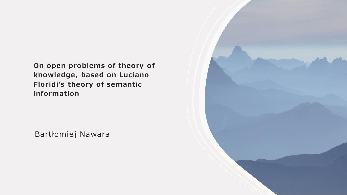**On open problems of theory of knowledge, based on Luciano Floridi's theory of semantic information**

Bartłomiej Nawara

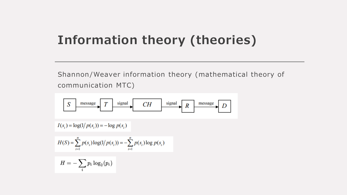# **Information theory (theories)**

Shannon/Weaver information theory (mathematical theory of communication MTC)

$$
I(s_i) = \log(1/p(s_i)) = -\log p(s_i)
$$
  
\n
$$
H(S) = \sum_{i=1}^{n} p(s_i) \log(1/p(s_i)) = -\sum_{i=1}^{n} p(s_i) \log p(s_i)
$$
  
\n
$$
H = -\sum_{i} p_i \log_2(p_i)
$$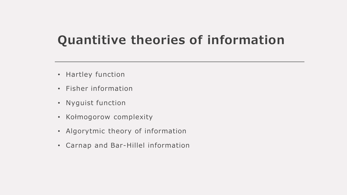# **Quantitive theories of information**

- Hartley function
- Fisher in formation
- Nyguist function
- Kołmogorow complexity
- Algorytmic theory of information
- Carnap and Bar-Hillel information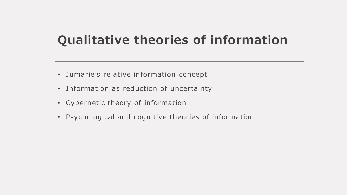# **Qualitative theories of information**

- Jumarie's relative information concept
- Information as reduction of uncertainty
- Cybernetic theory of information
- Psychological and cognitive theories of information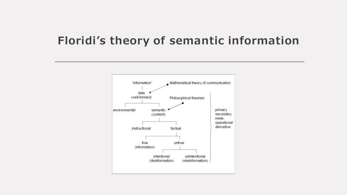### **Floridi's theory of semantic information**

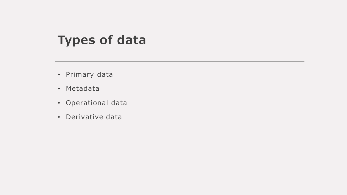## **Types of data**

- Primary data
- Metadata
- Operational data
- Derivative data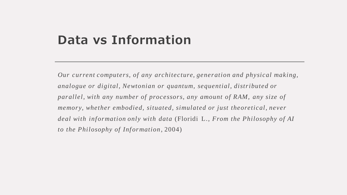### **Data vs Information**

*Our current computers, of any architecture, generation and physical making, analogue or digital, Newtonian or quantum, sequential, distributed or parallel, with any number of processors, any amount of RAM, any size of memory, whether embodied, situated, simulated or just theoretical, never deal with information only with data* (Floridi L., *From the Philosophy of AI to the Philosophy of Information*, 2004)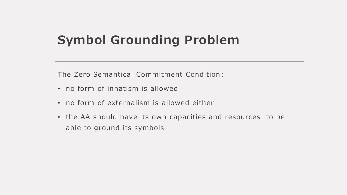# **Symbol Grounding Problem**

The Zero Semantical Commitment Condition:

- no form of innatism is allowed
- no form of externalism is allowed either
- the AA should have its own capacities and resources to be able to ground its symbols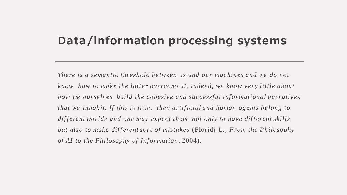#### **Data/information processing systems**

*There is a semantic threshold between us and our machines and we do not know how to make the latter overcome it. Indeed, we know very little about how we ourselves build the cohesive and successful informational narratives that we inhabit. If this is true, then artificial and human agents belong to* different worlds and one may expect them not only to have different skills *but also to make different sort of mistakes* (Floridi L., *From the Philosophy of AI to the Philosophy of Information*, 2004).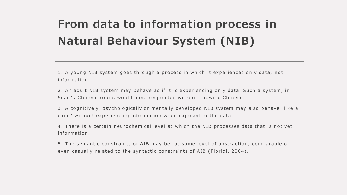# **From data to information process in Natural Behaviour System (NIB)**

1. A young NIB system goes through a process in which it experiences only data, not information.

2. An adult NIB system may behave as if it is experiencing only data. Such a system, in Searl's Chinese room, would have responded without knowing Chinese.

3. A cognitively, psychologically or mentally developed NIB system may also behave "like a child" without experiencing information when exposed to the data.

4. There is a certain neurochemical level at which the NIB processes data that is not yet information.

5. The semantic constraints of AIB may be, at some level of abstraction, comparable or even casually related to the syntactic constraints of AIB (Floridi, 2004).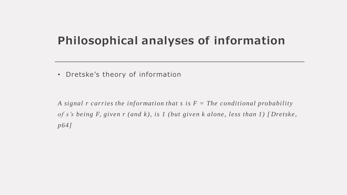### **Philosophical analyses of information**

• Dretske's theory of information

A signal *r* carries the information that *s* is  $F =$  The conditional probability *of s's being F, given r (and k), is 1 (but given k alone, less than 1) [ Dretske, p64]*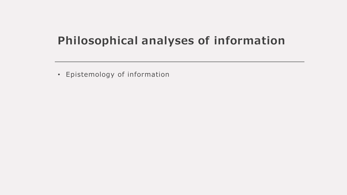### **Philosophical analyses of information**

• Epistemology of information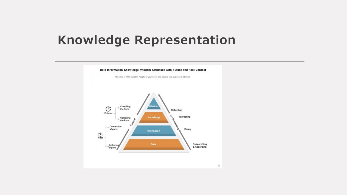### **Knowledge Representation**

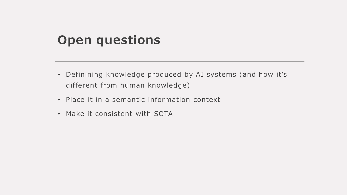## **Open questions**

- Definining knowledge produced by AI systems (and how it's different from human knowledge)
- Place it in a semantic information context
- Make it consistent with SOTA